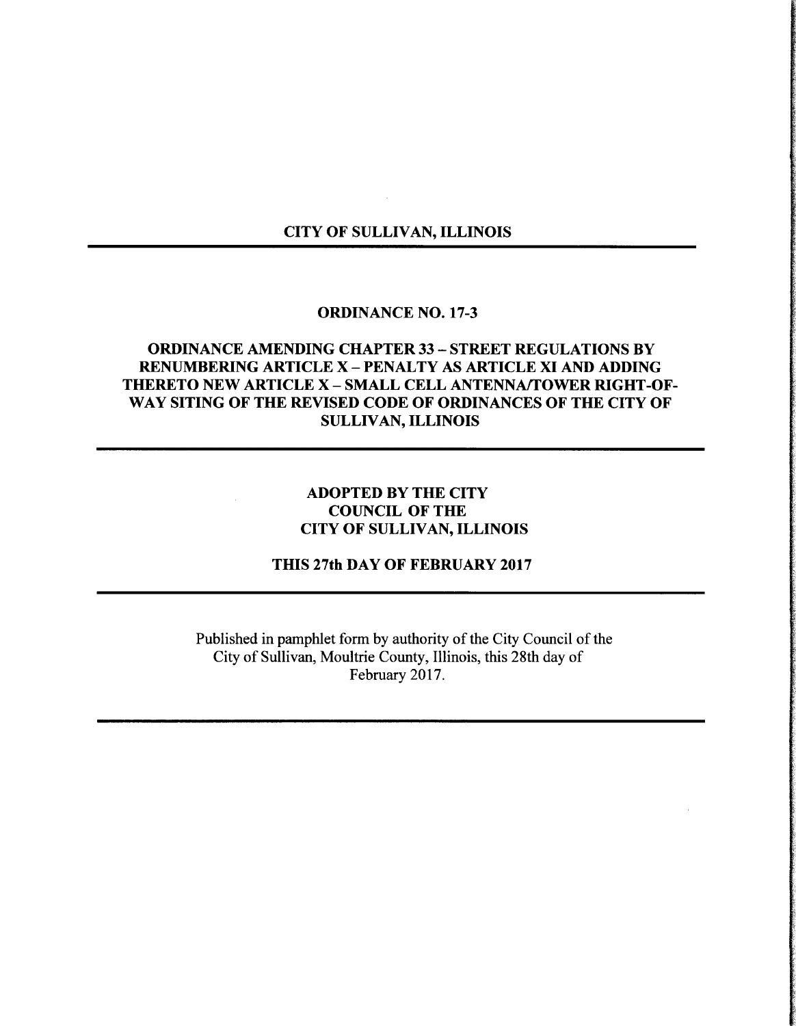### CITY OF SULLIVAN, ILLINOIS

#### ORDINANCE NO. 17-3

## ORDINANCE AMENDING CHAPTER 33— STREET REGULATIONS BY RENUMBERING ARTICLE X—PENALTY AS ARTICLE XI AND ADDING THERETO NEW ARTICLE X—SMALL CELL ANTENNA/TOWER RIGHT-OF-WAY SITING OF THE REVISED CODE OF ORDINANCES OF THE CITY OF SULLIVAN, ILLINOIS

### ADOPTED BY THE CITY COUNCIL OF THE CITY OF SULLIVAN, ILLINOIS

THIS 27th DAY OF FEBRUARY 2017

Published in pamphlet form by authority of the City Council of the City of Sullivan, Moultrie County, Illinois, this 28th day of February 2017.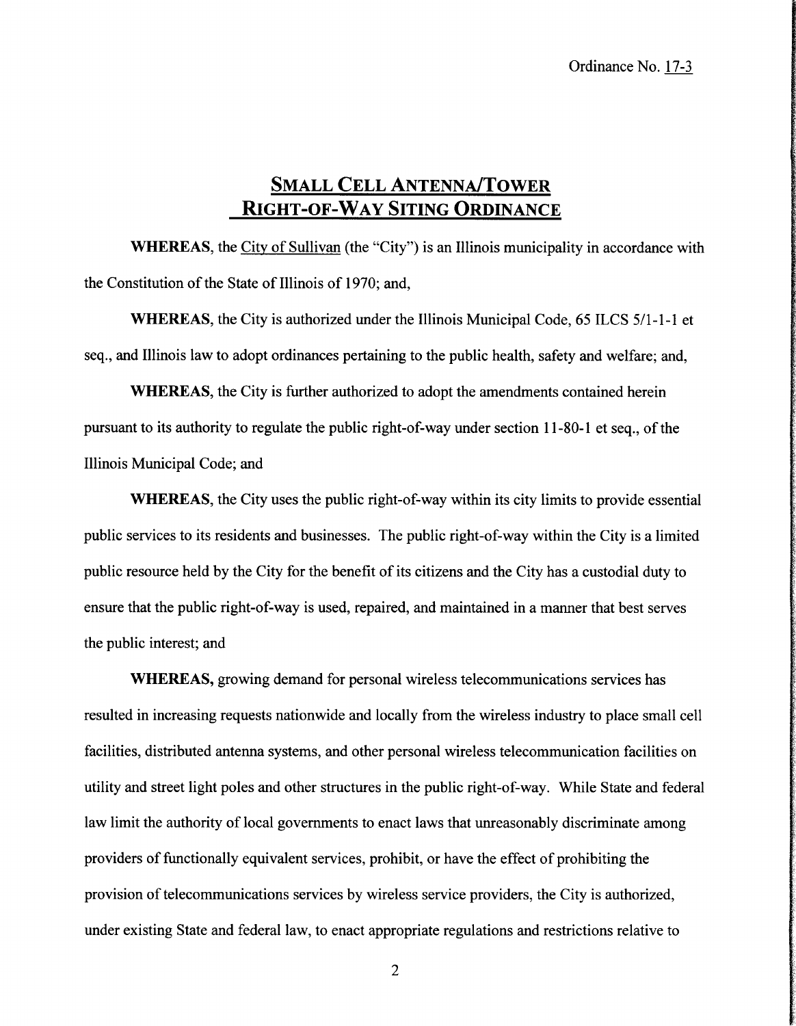## SMALL CELL ANTENNA/TOWER RIGHT-OF-WAY SITING ORDINANCE

WHEREAS, the City of Sullivan (the "City") is an Illinois municipality in accordance with the Constitution of the State of Illinois of 1970; and,

WHEREAS, the City is authorized under the Illinois Municipal Code, 65 ILCS 5/1-1-1 et seq., and Illinois law to adopt ordinances pertaining to the public health, safety and welfare; and,

WHEREAS, the City is further authorized to adopt the amendments contained herein pursuant to its authority to regulate the public right-of-way under section 11-80-1 et seq., of the Illinois Municipal Code; and

WHEREAS, the City uses the public right-of-way within its city limits to provide essential public services to its residents and businesses. The public right-of-way within the City is <sup>a</sup> limited public resource held by the City for the benefit of its citizens and the City has a custodial duty to ensure that the public right-of-way is used, repaired, and maintained in a manner that best serves the public interest; and

WHEREAS, growing demand for personal wireless telecommunications services has resulted in increasing requests nationwide and locally from the wireless industry to place small cell facilities, distributed antenna systems, and other personal wireless telecommunication facilities on utility and street light poles and other structures in the public right-of-way. While State and federal law limit the authority of local governments to enact laws that unreasonably discriminate among providers of functionally equivalent services, prohibit, or have the effect of prohibiting the provision oftelecommunications services by wireless service providers, the City is authorized, under existing State and federal law, to enact appropriate regulations and restrictions relative to

2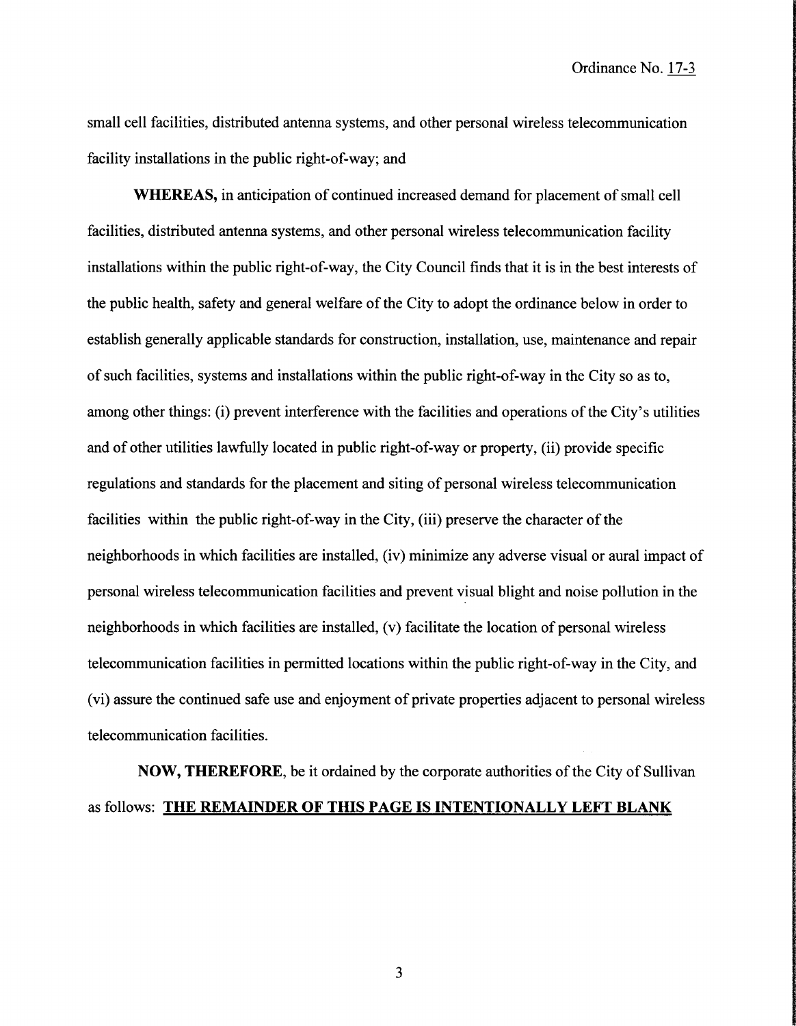Ordinance No. 17-3

small cell facilities, distributed antenna systems, and other personal wireless telecommunication facility installations in the public right-of-way; and

WHEREAS, in anticipation of continued increased demand for placement of small cell facilities, distributed antenna systems, and other personal wireless telecommunication facility installations within the public right-of-way, the City Council finds that it is in the best interests of the public health, safety and general welfare of the City to adopt the ordinance below in order to establish generally applicable standards for construction, installation, use, maintenance and repair of such facilities, systems and installations within the public right-of-way in the City so as to, among other things: (i) prevent interference with the facilities and operations of the City's utilities and of other utilities lawfully located in public right-of-way or property, (ii) provide specific regulations and standards for the placement and siting of personal wireless telecommunication facilities within the public right-of-way in the City, (iii) preserve the character of the neighborhoods in which facilities are installed, (iv) minimize any adverse visual or aural impact of personal wireless telecommunication facilities and prevent visual blight and noise pollution in the neighborhoods in which facilities are installed, (v) facilitate the location of personal wireless telecommunication facilities in permitted locations within the public right-of-way in the City, and (vi) assure the continued safe use and enjoyment of private properties adjacent to personal wireless telecommunication facilities.

NOW, THEREFORE, be it ordained by the corporate authorities ofthe City of Sullivan as follows: THE REMAINDER OF THIS PAGE IS INTENTIONALLY LEFT BLANK

3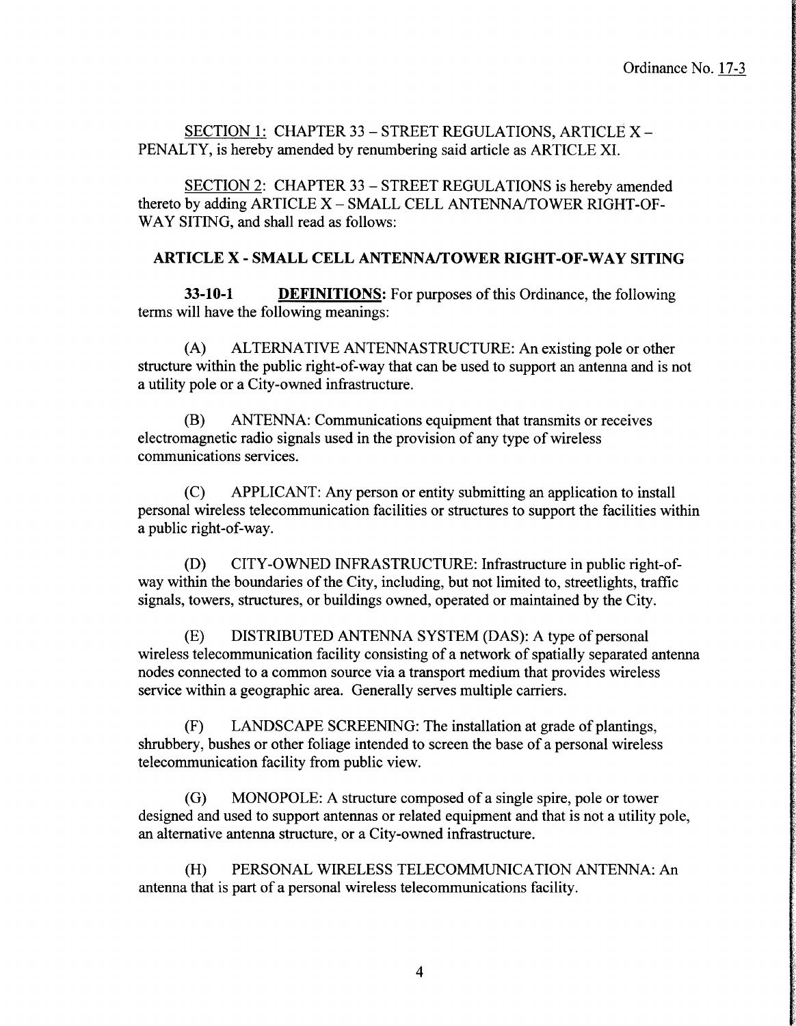SECTION 1: CHAPTER 33 — STREET REGULATIONS, ARTICLE X— PENALTY, is hereby amended by renumbering said article as ARTICLE XI.

SECTION 2: CHAPTER 33 — STREET REGULATIONS is hereby amended thereto by adding ARTICLE X—SMALL CELL ANTENNA/TOWER RIGHT-OF-WAY SITING, and shall read as follows:

### ARTICLE X- SMALL CELL ANTENNA/TOWER RIGHT-OF-WAY SITING

33-10-1 **DEFINITIONS:** For purposes of this Ordinance, the following terms will have the following meanings:

A) ALTERNATIVE ANTENNASTRUCTURE: An existing pole or other structure within the public right-of-way that can be used to support an antenna and is not a utility pole or a City-owned infrastructure.

B) ANTENNA: Communications equipment that transmits or receives electromagnetic radio signals used in the provision of any type of wireless communications services.

C) APPLICANT: Any person or entity submitting an application to install personal wireless telecommunication facilities or structures to support the facilities within a public right-of-way.

D) CITY-OWNED INFRASTRUCTURE: Infrastructure in public right-ofway within the boundaries of the City, including, but not limited to, streetlights, traffic signals, towers, structures, or buildings owned, operated or maintained by the City.

E) DISTRIBUTED ANTENNA SYSTEM (DAS): A type of personal wireless telecommunication facility consisting of a network of spatially separated antenna nodes connected to a common source via a transport medium that provides wireless service within a geographic area. Generally serves multiple carriers.

F) LANDSCAPE SCREENING: The installation at grade of plantings, shrubbery, bushes or other foliage intended to screen the base of a personal wireless telecommunication facility from public view.

G) MONOPOLE: A structure composed of a single spire, pole or tower designed and used to support antennas or related equipment and that is not a utility pole, an alternative antenna structure, or a City-owned infrastructure.

(H) PERSONAL WIRELESS TELECOMMUNICATION ANTENNA: An antenna that is part of a personal wireless telecommunications facility.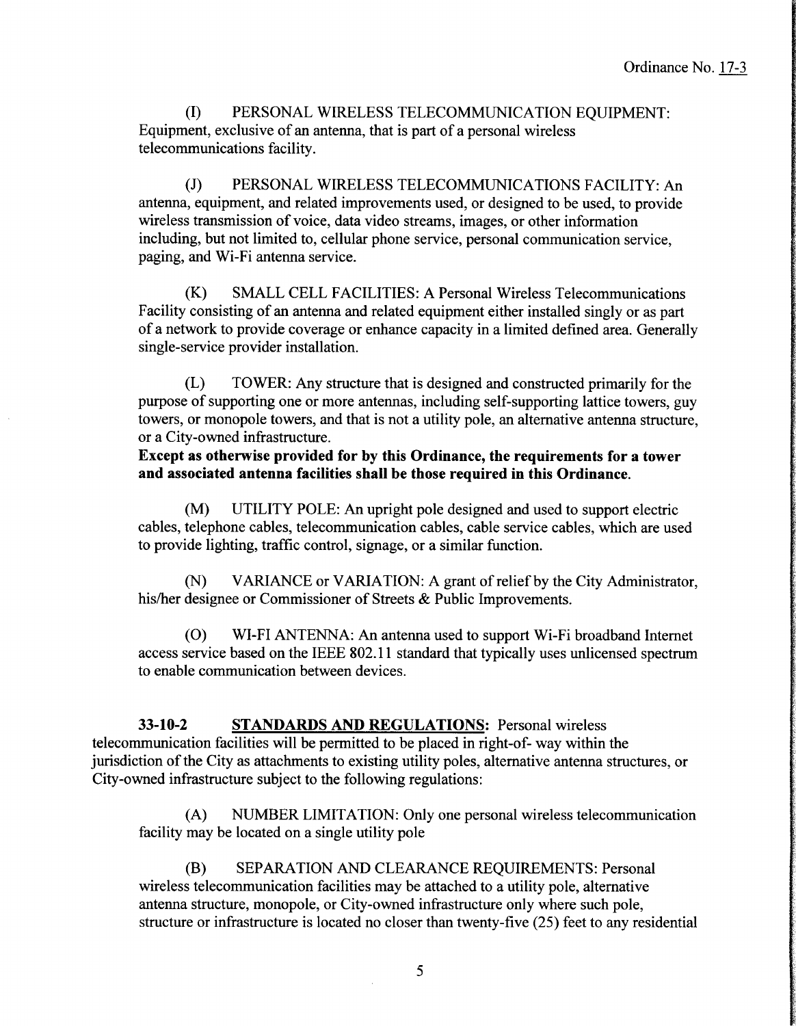I) PERSONAL WIRELESS TELECOMMUNICATION EQUIPMENT: Equipment, exclusive of an antenna, that is part of a personal wireless telecommunications facility.

J) PERSONAL WIRELESS TELECOMMUNICATIONS FACILITY: An antenna, equipment, and related improvements used, or designed to be used, to provide wireless transmission of voice, data video streams, images, or other information including, but not limited to, cellular phone service, personal communication service, paging, and Wi-Fi antenna service.

K) SMALL CELL FACILITIES: A Personal Wireless Telecommunications Facility consisting of an antenna and related equipment either installed singly or as part of <sup>a</sup> network to provide coverage or enhance capacity in <sup>a</sup> limited defined area. Generally single- service provider installation.

L) TOWER: Any structure that is designed and constructed primarily for the purpose of supporting one or more antennas, including self-supporting lattice towers, guy towers, or monopole towers, and that is not <sup>a</sup> utility pole, an alternative antenna structure, or a City-owned infrastructure.

Except as otherwise provided for by this Ordinance, the requirements for a tower and associated antenna facilities shall be those required in this Ordinance.

M) UTILITY POLE: An upright pole designed and used to support electric cables, telephone cables, telecommunication cables, cable service cables, which are used to provide lighting, traffic control, signage, or a similar function.

N) VARIANCE or VARIATION: A grant of relief by the City Administrator, his/her designee or Commissioner of Streets & Public Improvements.

0) WI-FI ANTENNA: An antenna used to support Wi-Fi broadband Internet access service based on the IEEE 802. <sup>11</sup> standard that typically uses unlicensed spectrum to enable communication between devices.

33-10-2 STANDARDS AND REGULATIONS: Personal wireless telecommunication facilities will be permitted to be placed in right-of-way within the jurisdiction of the City as attachments to existing utility poles, alternative antenna structures, or City-owned infrastructure subject to the following regulations:

A) NUMBER LIMITATION: Only one personal wireless telecommunication facility may be located on a single utility pole

B) SEPARATION AND CLEARANCE REQUIREMENTS: Personal wireless telecommunication facilities may be attached to a utility pole, alternative antenna structure, monopole, or City-owned infrastructure only where such pole, structure or infrastructure is located no closer than twenty-five (25) feet to any residential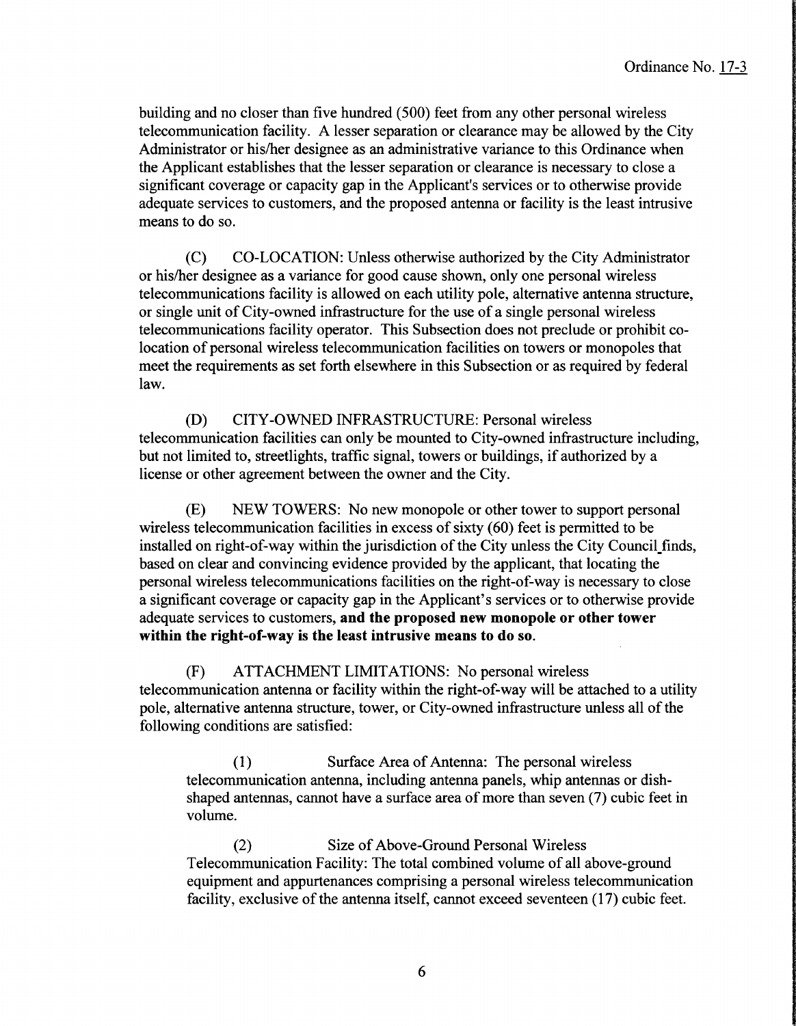building and no closer than five hundred (500) feet from any other personal wireless telecommunication facility. A lesser separation or clearance may be allowed by the City Administrator or his/her designee as an administrative variance to this Ordinance when the Applicant establishes that the lesser separation or clearance is necessary to close a significant coverage or capacity gap in the Applicant's services or to otherwise provide adequate services to customers, and the proposed antenna or facility is the least intrusive means to do so.

C) CO-LOCATION: Unless otherwise authorized by the City Administrator or his/her designee as a variance for good cause shown, only one personal wireless telecommunications facility is allowed on each utility pole, alternative antenna structure, or single unit of City-owned infrastructure for the use of <sup>a</sup> single personal wireless telecommunications facility operator. This Subsection does not preclude or prohibit colocation of personal wireless telecommunication facilities on towers or monopoles that meet the requirements as set forth elsewhere in this Subsection or as required by federal law.

D) CITY-OWNED INFRASTRUCTURE: Personal wireless telecommunication facilities can only be mounted to City-owned infrastructure including, but not limited to, streetlights, traffic signal, towers or buildings, if authorized by <sup>a</sup> license or other agreement between the owner and the City.

E) NEW TOWERS: No new monopole or other tower to support personal wireless telecommunication facilities in excess of sixty (60) feet is permitted to be installed on right-of-way within the jurisdiction of the City unless the City Council finds, based on clear and convincing evidence provided by the applicant, that locating the personal wireless telecommunications facilities on the right-of-way is necessary to close a significant coverage or capacity gap in the Applicant' <sup>s</sup> services or to otherwise provide adequate services to customers, and the proposed new monopole or other tower within the right-of-way is the least intrusive means to do so.

F) ATTACHMENT LIMITATIONS: No personal wireless telecommunication antenna or facility within the right-of-way will be attached to <sup>a</sup> utility pole, alternative antenna structure, tower, or City-owned infrastructure unless all of the following conditions are satisfied:

(1) Surface Area of Antenna: The personal wireless telecommunication antenna, including antenna panels, whip antennas or dishshaped antennas, cannot have a surface area of more than seven( 7) cubic feet in volume.

(2) Size of Above-Ground Personal Wireless Telecommunication Facility: The total combined volume of all above-ground equipment and appurtenances comprising a personal wireless telecommunication facility, exclusive of the antenna itself, cannot exceed seventeen (17) cubic feet.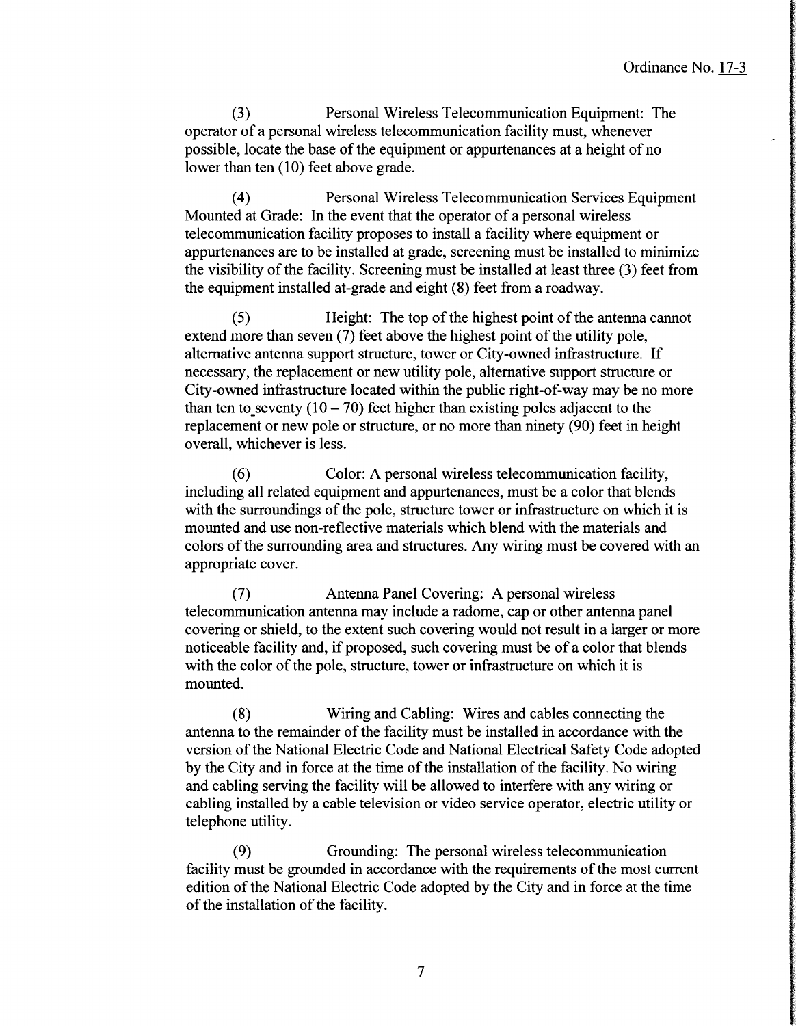3) Personal Wireless Telecommunication Equipment: The operator of <sup>a</sup> personal wireless telecommunication facility must, whenever possible, locate the base of the equipment or appurtenances at <sup>a</sup> height of no lower than ten (10) feet above grade.

4) Personal Wireless Telecommunication Services Equipment Mounted at Grade: In the event that the operator of <sup>a</sup> personal wireless telecommunication facility proposes to install a facility where equipment or appurtenances are to be installed at grade, screening must be installed to minimize the visibility of the facility. Screening must be installed at least three  $(3)$  feet from the equipment installed at-grade and eight (8) feet from a roadway.

(5) Height: The top of the highest point of the antenna cannot extend more than seven (7) feet above the highest point of the utility pole, alternative antenna support structure, tower or City-owned infrastructure. If necessary, the replacement or new utility pole, alternative support structure or City-owned infrastructure located within the public right-of-way may be no more than ten to seventy  $(10 – 70)$  feet higher than existing poles adjacent to the replacement or new pole or structure, or no more than ninety (90) feet in height overall, whichever is less.

6) Color: A personal wireless telecommunication facility, including all related equipment and appurtenances, must be a color that blends with the surroundings of the pole, structure tower or infrastructure on which it is mounted and use non-reflective materials which blend with the materials and colors of the surrounding area and structures. Any wiring must be covered with an appropriate cover.

7) Antenna Panel Covering: A personal wireless telecommunication antenna may include a radome, cap or other antenna panel covering or shield, to the extent such covering would not result in a larger or more noticeable facility and, if proposed, such covering must be of <sup>a</sup> color that blends with the color of the pole, structure, tower or infrastructure on which it is mounted.

8) Wiring and Cabling: Wires and cables connecting the antenna to the remainder of the facility must be installed in accordance with the version of the National Electric Code and National Electrical Safety Code adopted by the City and in force at the time of the installation of the facility. No wiring and cabling serving the facility will be allowed to interfere with any wiring or cabling installed by a cable television or video service operator, electric utility or telephone utility.

9) Grounding: The personal wireless telecommunication facility must be grounded in accordance with the requirements of the most current edition of the National Electric Code adopted by the City and in force at the time of the installation of the facility.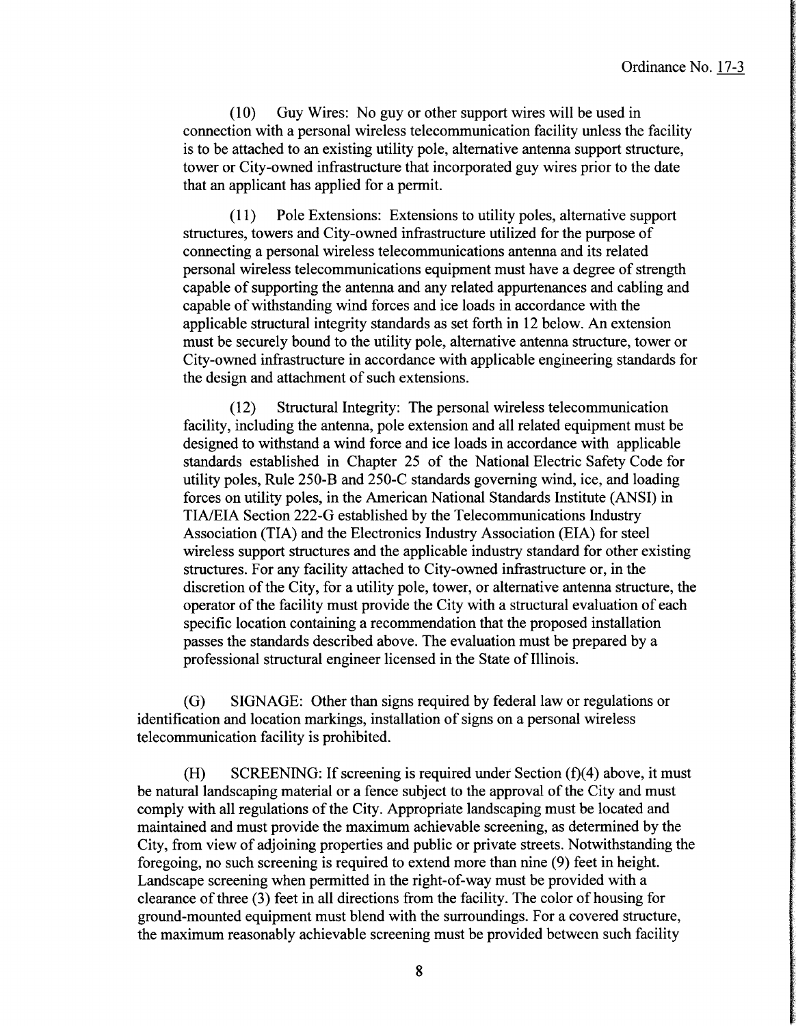10) Guy Wires: No guy or other support wires will be used in connection with a personal wireless telecommunication facility unless the facility is to be attached to an existing utility pole, alternative antenna support structure, tower or City-owned infrastructure that incorporated guy wires prior to the date that an applicant has applied for a permit.

11) Pole Extensions: Extensions to utility poles, alternative support structures, towers and City-owned infrastructure utilized for the purpose of connecting a personal wireless telecommunications antenna and its related personal wireless telecommunications equipment must have a degree of strength capable of supporting the antenna and any related appurtenances and cabling and capable of withstanding wind forces and ice loads in accordance with the applicable structural integrity standards as set forth in 12 below. An extension must be securely bound to the utility pole, alternative antenna structure, tower or City-owned infrastructure in accordance with applicable engineering standards for the design and attachment of such extensions.

12) Structural Integrity: The personal wireless telecommunication facility, including the antenna, pole extension and all related equipment must be designed to withstand a wind force and ice loads in accordance with applicable standards established in Chapter 25 of the National Electric Safety Code for utility poles, Rule  $250$ -B and  $250$ -C standards governing wind, ice, and loading forces on utility poles, in the American National Standards Institute (ANSI) in TIA/EIA Section 222-G established by the Telecommunications Industry Association (TIA) and the Electronics Industry Association (EIA) for steel wireless support structures and the applicable industry standard for other existing structures. For any facility attached to City-owned infrastructure or, in the discretion of the City, for a utility pole, tower, or alternative antenna structure, the operator of the facility must provide the City with a structural evaluation of each specific location containing a recommendation that the proposed installation passes the standards described above. The evaluation must be prepared by a professional structural engineer licensed in the State of Illinois.

G) SIGNAGE: Other than signs required by federal law or regulations or identification and location markings, installation of signs on <sup>a</sup> personal wireless telecommunication facility is prohibited.

(H) SCREENING: If screening is required under Section  $(f)(4)$  above, it must be natural landscaping material or <sup>a</sup> fence subject to the approval of the City and must comply with all regulations of the City. Appropriate landscaping must be located and maintained and must provide the maximum achievable screening, as determined by the City, from view of adjoining properties and public or private streets. Notwithstanding the foregoing, no such screening is required to extend more than nine (9) feet in height. Landscape screening when permitted in the right-of-way must be provided with a clearance of three (3) feet in all directions from the facility. The color of housing for ground-mounted equipment must blend with the surroundings. For a covered structure, the maximum reasonably achievable screening must be provided between such facility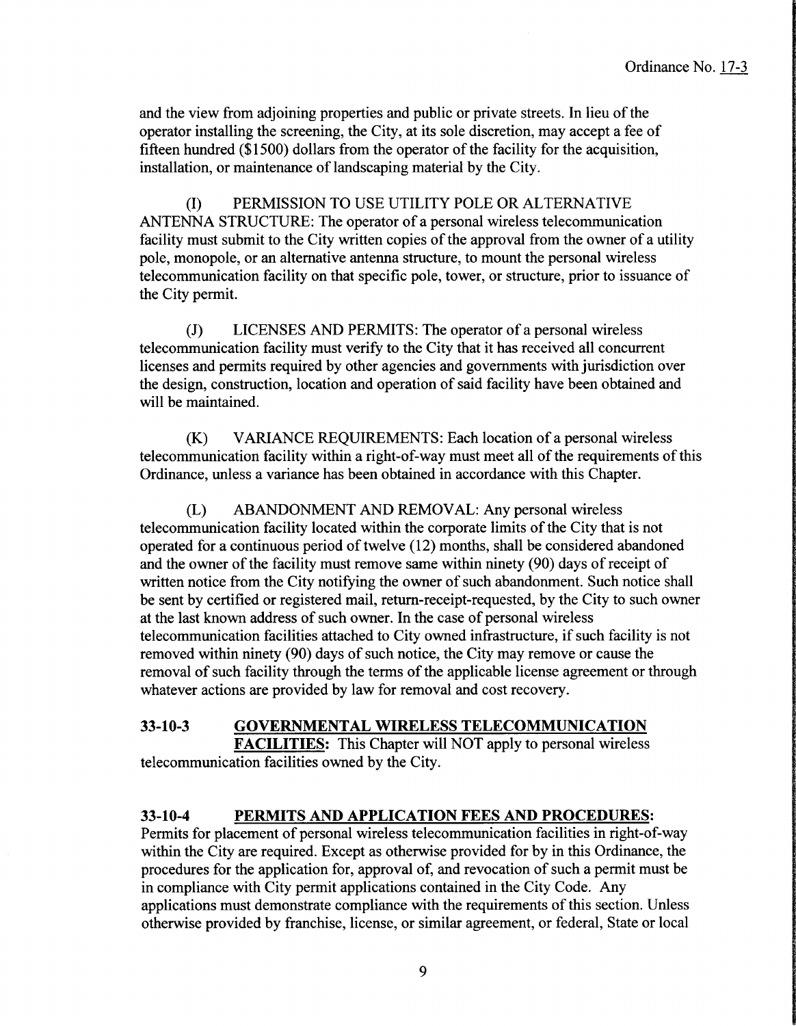and the view from adjoining properties and public or private streets. In lieu of the operator installing the screening, the City, at its sole discretion, may accept <sup>a</sup> fee of fifteen hundred (\$1500) dollars from the operator of the facility for the acquisition, installation, or maintenance of landscaping material by the City.

I) PERMISSION TO USE UTILITY POLE OR ALTERNATIVE ANTENNA STRUCTURE: The operator of a personal wireless telecommunication facility must submit to the City written copies of the approval from the owner of a utility pole, monopole, or an alternative antenna structure, to mount the personal wireless telecommunication facility on that specific pole, tower, or structure, prior to issuance of the City permit.

J) LICENSES AND PERMITS: The operator of a personal wireless telecommunication facility must verify to the City that it has received all concurrent licenses and permits required by other agencies and governments with jurisdiction over the design, construction, location and operation of said facility have been obtained and will be maintained.

K) VARIANCE REQUIREMENTS: Each location of <sup>a</sup> personal wireless telecommunication facility within a right-of-way must meet all of the requirements of this Ordinance, unless a variance has been obtained in accordance with this Chapter.

L) ABANDONMENT AND REMOVAL: Any personal wireless telecommunication facility located within the corporate limits of the City that is not operated for a continuous period of twelve  $(12)$  months, shall be considered abandoned and the owner of the facility must remove same within ninety (90) days of receipt of written notice from the City notifying the owner of such abandonment. Such notice shall be sent by certified or registered mail, return-receipt-requested, by the City to such owner at the last known address of such owner. In the case of personal wireless telecommunication facilities attached to City owned infrastructure, if such facility is not removed within ninety (90) days of such notice, the City may remove or cause the removal of such facility through the terms of the applicable license agreement or through whatever actions are provided by law for removal and cost recovery.

# 33- 10-3 GOVERNMENTAL WIRELESS TELECOMMUNICATION

FACILITIES: This Chapter will NOT apply to personal wireless telecommunication facilities owned by the City.

## 33-10-4 PERMITS AND APPLICATION FEES AND PROCEDURES:

Permits for placement of personal wireless telecommunication facilities in right-of-way within the City are required. Except as otherwise provided for by in this Ordinance, the procedures for the application for, approval of, and revocation of such <sup>a</sup> permit must be in compliance with City permit applications contained in the City Code. Any applications must demonstrate compliance with the requirements of this section. Unless otherwise provided by franchise, license, or similar agreement, or federal, State or local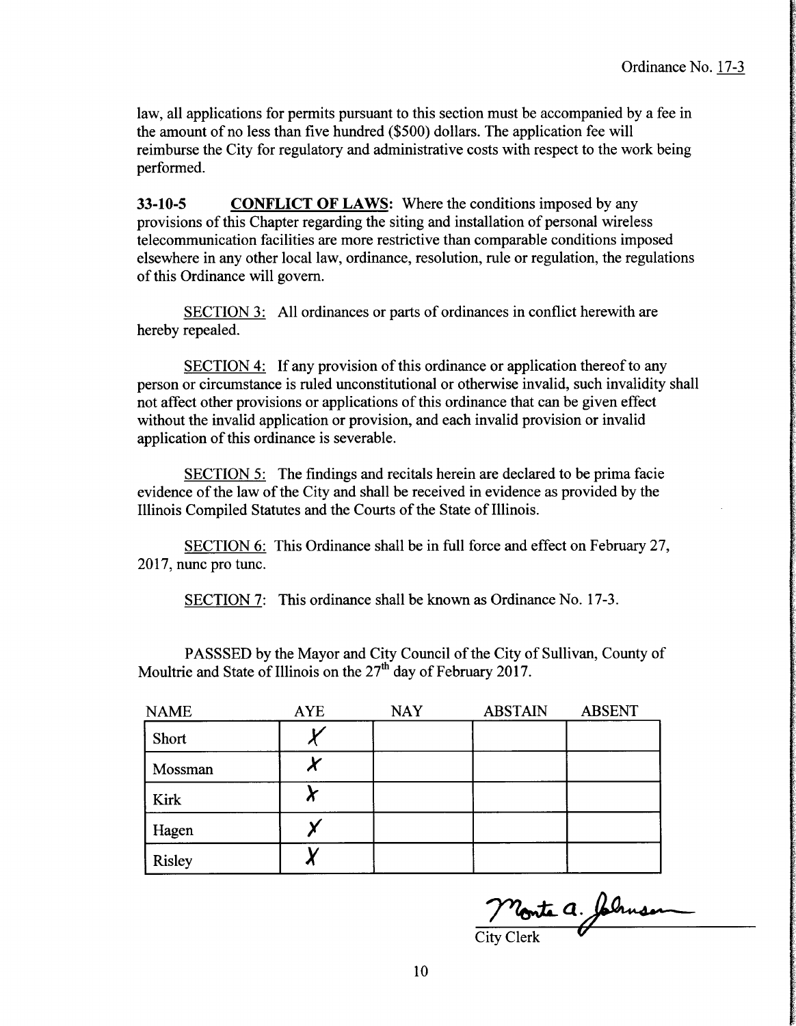F

law, all applications for permits pursuant to this section must be accompanied by a fee in the amount of no less than five hundred (\$500) dollars. The application fee will reimburse the City for regulatory and administrative costs with respect to the work being performed.

33-10-5 CONFLICT OF LAWS: Where the conditions imposed by any provisions of this Chapter regarding the siting and installation of personal wireless telecommunication facilities are more restrictive than comparable conditions imposed elsewhere in any other local law, ordinance, resolution, rule or regulation, the regulations of this Ordinance will govern.

SECTION 3: All ordinances or parts of ordinances in conflict herewith are hereby repealed.

SECTION 4: If any provision of this ordinance or application thereof to any person or circumstance is ruled unconstitutional or otherwise invalid, such invalidity shall not affect other provisions or applications of this ordinance that can be given effect without the invalid application or provision, and each invalid provision or invalid application of this ordinance is severable.

SECTION 5: The findings and recitals herein are declared to be prima facie evidence of the law of the City and shall be received in evidence as provided by the Illinois Compiled Statutes and the Courts of the State of Illinois.

SECTION 6: This Ordinance shall be in full force and effect on February 27, 2017, nunc pro tunc.

SECTION 7: This ordinance shall be known as Ordinance No. 17-3.

PASSSED by the Mayor and City Council of the City of Sullivan, County of Moultrie and State of Illinois on the  $27<sup>th</sup>$  day of February 2017.

| <b>NAME</b>   | <b>AYE</b> | <b>NAY</b> | <b>ABSTAIN</b> | <b>ABSENT</b> |
|---------------|------------|------------|----------------|---------------|
| Short         |            |            |                |               |
| Mossman       |            |            |                |               |
| Kirk          |            |            |                |               |
| Hagen         |            |            |                |               |
| <b>Risley</b> |            |            |                |               |

Monte a. folmen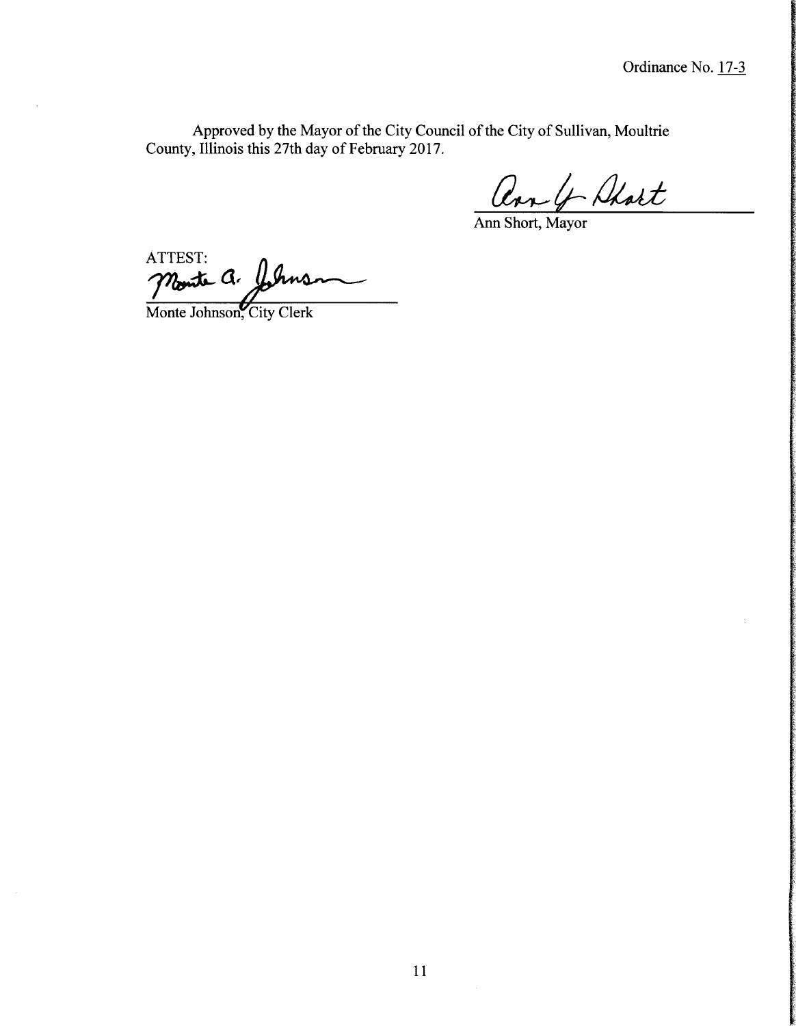Approved by the Mayor of the City Council of the City of Sullivan, Moultrie County, Illinois this 27th day of February 2017.

ar & Ahart

Ann Short, Mayor

ATTEST: Monte Q.

Monte Johnson, City Clerk